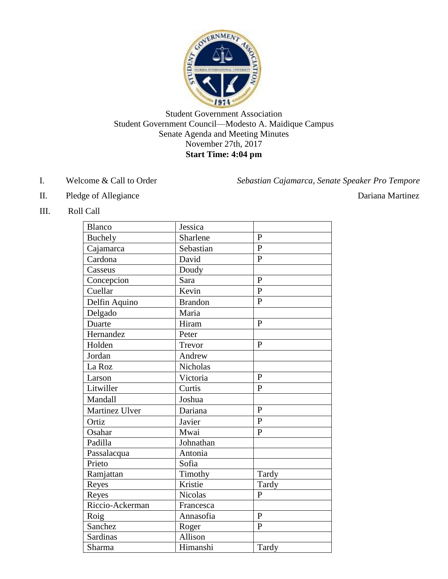

Student Government Association Student Government Council—Modesto A. Maidique Campus Senate Agenda and Meeting Minutes November 27th, 2017 **Start Time: 4:04 pm**

I. Welcome & Call to Order *Sebastian Cajamarca, Senate Speaker Pro Tempore*

II. Pledge of Allegiance Dariana Martinez

III. Roll Call

| Blanco          | Jessica        |                |
|-----------------|----------------|----------------|
| <b>Buchely</b>  | Sharlene       | $\mathbf{P}$   |
| Cajamarca       | Sebastian      | P              |
| Cardona         | David          | $\overline{P}$ |
| Casseus         | Doudy          |                |
| Concepcion      | Sara           | $\mathbf{P}$   |
| Cuellar         | Kevin          | $\mathbf{P}$   |
| Delfin Aquino   | <b>Brandon</b> | $\mathbf{P}$   |
| Delgado         | Maria          |                |
| Duarte          | Hiram          | $\mathbf{P}$   |
| Hernandez       | Peter          |                |
| Holden          | Trevor         | $\mathbf{P}$   |
| Jordan          | Andrew         |                |
| La Roz          | Nicholas       |                |
| Larson          | Victoria       | P              |
| Litwiller       | Curtis         | $\overline{P}$ |
| Mandall         | Joshua         |                |
| Martinez Ulver  | Dariana        | $\mathbf{P}$   |
| Ortiz           | Javier         | $\mathbf{P}$   |
| Osahar          | Mwai           | $\mathbf{P}$   |
| Padilla         | Johnathan      |                |
| Passalacqua     | Antonia        |                |
| Prieto          | Sofia          |                |
| Ramjattan       | Timothy        | Tardy          |
| Reyes           | Kristie        | Tardy          |
| Reyes           | <b>Nicolas</b> | $\overline{P}$ |
| Riccio-Ackerman | Francesca      |                |
| Roig            | Annasofia      | $\mathbf{P}$   |
| Sanchez         | Roger          | $\mathbf{P}$   |
| Sardinas        | Allison        |                |
| Sharma          | Himanshi       | Tardy          |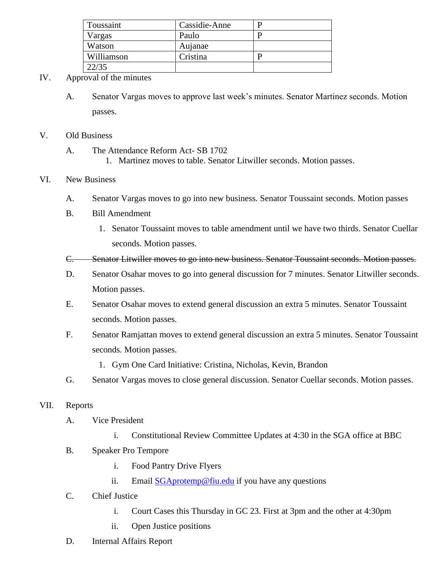| Toussaint  | Cassidie-Anne |  |
|------------|---------------|--|
| Vargas     | Paulo         |  |
| Watson     | Aujanae       |  |
| Williamson | Cristina      |  |
| 22/35      |               |  |

## IV. Approval of the minutes

A. Senator Vargas moves to approve last week's minutes. Senator Martinez seconds. Motion passes.

### V. Old Business

- A. The Attendance Reform Act- SB 1702
	- 1. Martinez moves to table. Senator Litwiller seconds. Motion passes.

### VI. New Business

- A. Senator Vargas moves to go into new business. Senator Toussaint seconds. Motion passes
- B. Bill Amendment
	- 1. Senator Toussaint moves to table amendment until we have two thirds. Senator Cuellar seconds. Motion passes.
- C. Senator Litwiller moves to go into new business. Senator Toussaint seconds. Motion passes.
- D. Senator Osahar moves to go into general discussion for 7 minutes. Senator Litwiller seconds. Motion passes.
- E. Senator Osahar moves to extend general discussion an extra 5 minutes. Senator Toussaint seconds. Motion passes.
- F. Senator Ramjattan moves to extend general discussion an extra 5 minutes. Senator Toussaint seconds. Motion passes.
	- 1. Gym One Card Initiative: Cristina, Nicholas, Kevin, Brandon
- G. Senator Vargas moves to close general discussion. Senator Cuellar seconds. Motion passes.

### VII. Reports

- A. Vice President
	- i. Constitutional Review Committee Updates at 4:30 in the SGA office at BBC
- B. Speaker Pro Tempore
	- i. Food Pantry Drive Flyers
	- ii. Email [SGAprotemp@fiu.edu](mailto:SGAprotemp@fiu.edu) if you have any questions
- C. Chief Justice
	- i. Court Cases this Thursday in GC 23. First at 3pm and the other at 4:30pm
	- ii. Open Justice positions
- D. Internal Affairs Report